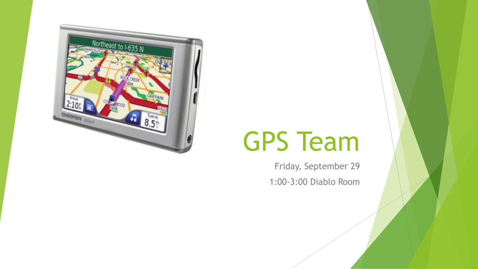

# GPS Team

Friday, September 29 1:00-3:00 Diablo Room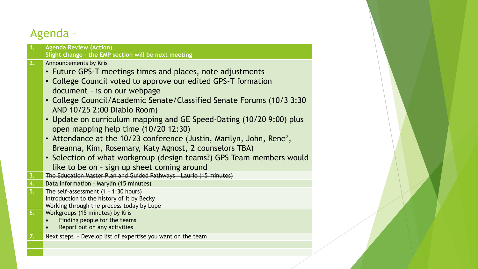#### Agenda –

| 1.                   | <b>Agenda Review (Action)</b><br>Slight change - the EMP section will be next meeting                                                                                                                                                                                                                                                                                                                                                                                                                                                                                                                                                                                |
|----------------------|----------------------------------------------------------------------------------------------------------------------------------------------------------------------------------------------------------------------------------------------------------------------------------------------------------------------------------------------------------------------------------------------------------------------------------------------------------------------------------------------------------------------------------------------------------------------------------------------------------------------------------------------------------------------|
| $\overline{2.}$      | Announcements by Kris<br>• Future GPS-T meetings times and places, note adjustments<br>• College Council voted to approve our edited GPS-T formation<br>document - is on our webpage<br>• College Council/Academic Senate/Classified Senate Forums (10/3 3:30<br>AND 10/25 2:00 Diablo Room)<br>• Update on curriculum mapping and GE Speed-Dating (10/20 9:00) plus<br>open mapping help time (10/20 12:30)<br>• Attendance at the 10/23 conference (Justin, Marilyn, John, Rene',<br>Breanna, Kim, Rosemary, Katy Agnost, 2 counselors TBA)<br>• Selection of what workgroup (design teams?) GPS Team members would<br>like to be on - sign up sheet coming around |
|                      |                                                                                                                                                                                                                                                                                                                                                                                                                                                                                                                                                                                                                                                                      |
| 3 <sub>1</sub><br>4. | The Education Master Plan and Guided Pathways - Laurie (15 minutes)<br>Data information - Marylin (15 minutes)                                                                                                                                                                                                                                                                                                                                                                                                                                                                                                                                                       |
| 5.                   | The self-assessment $(1 - 1:30$ hours)<br>Introduction to the history of it by Becky<br>Working through the process today by Lupe                                                                                                                                                                                                                                                                                                                                                                                                                                                                                                                                    |
| 6.                   | Workgroups (15 minutes) by Kris<br>Finding people for the teams<br>Report out on any activities                                                                                                                                                                                                                                                                                                                                                                                                                                                                                                                                                                      |
| $\overline{7.}$      | Next steps - Develop list of expertise you want on the team                                                                                                                                                                                                                                                                                                                                                                                                                                                                                                                                                                                                          |
|                      |                                                                                                                                                                                                                                                                                                                                                                                                                                                                                                                                                                                                                                                                      |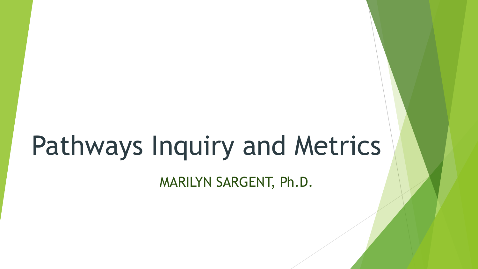# Pathways Inquiry and Metrics

MARILYN SARGENT, Ph.D.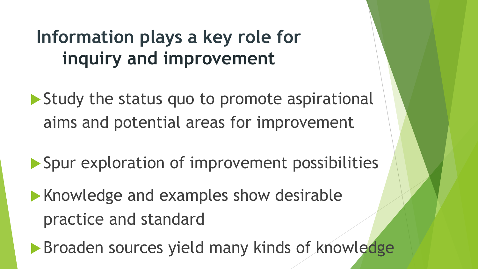# **Information plays a key role for inquiry and improvement**

Study the status quo to promote aspirational aims and potential areas for improvement

- Spur exploration of improvement possibilities
- **Knowledge and examples show desirable** practice and standard

**Broaden sources yield many kinds of knowledge**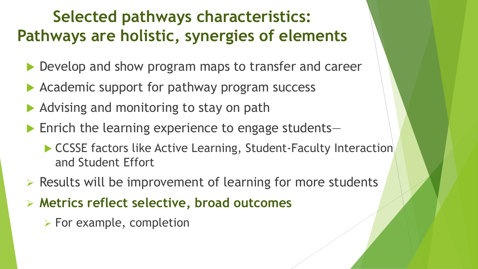#### **Selected pathways characteristics: Pathways are holistic, synergies of elements**

- ▶ Develop and show program maps to transfer and career
- Academic support for pathway program success
- Advising and monitoring to stay on path
- ▶ Enrich the learning experience to engage students–
	- ▶ CCSSE factors like Active Learning, Student-Faculty Interaction and Student Effort
- ➢ Results will be improvement of learning for more students
- ➢ **Metrics reflect selective, broad outcomes**
	- ➢ For example, completion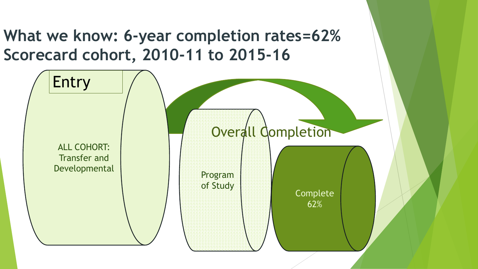**What we know: 6-year completion rates=62% Scorecard cohort, 2010-11 to 2015-16** 

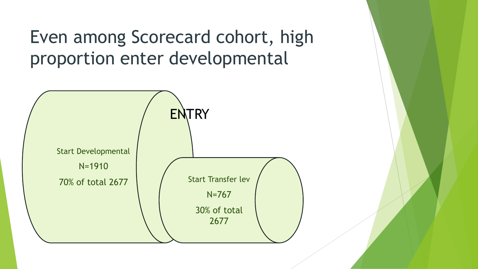Even among Scorecard cohort, high proportion enter developmental

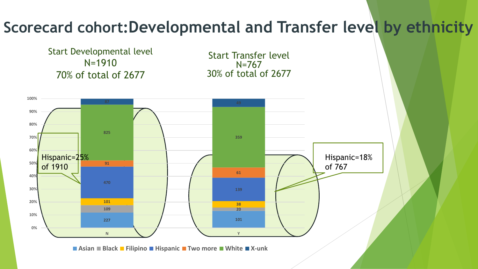#### **Scorecard cohort:Developmental and Transfer level by ethnicity**

Start Developmental level N=1910 70% of total of 2677

Start Transfer level N=767 30% of total of 2677



**Asian Black Filipino Hispanic Two more White X-unk**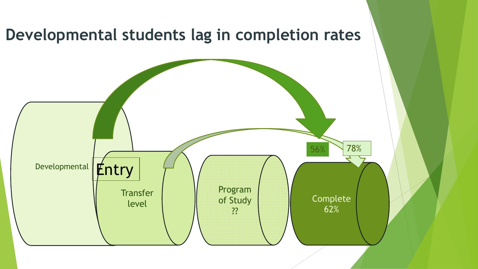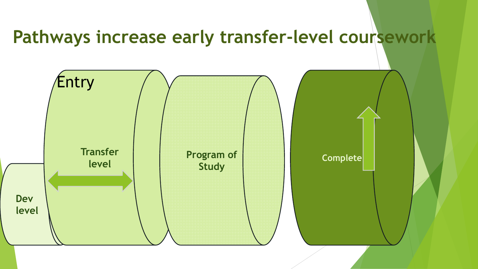#### **Pathways increase early transfer-level coursework**

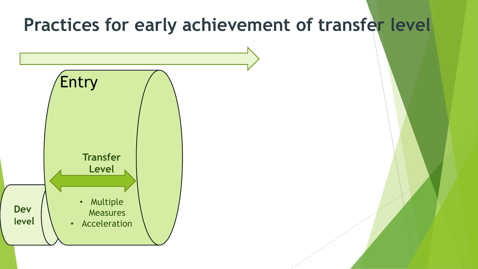#### **Practices for early achievement of transfer level**

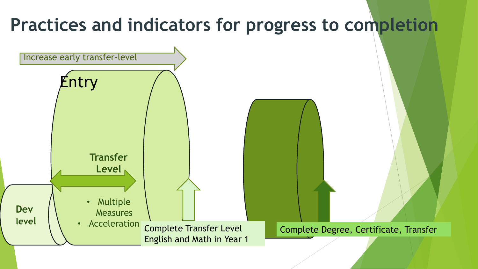#### **Practices and indicators for progress to completion Dev level Transfer Level** • Multiple **Measures** • Acceleration Entry Increase early transfer-level Complete Transfer Level English and Math in Year 1 Complete Degree, Certificate, Transfer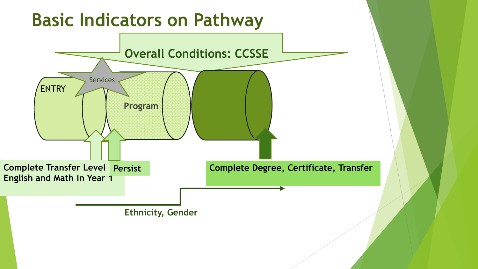## **Basic Indicators on Pathway**

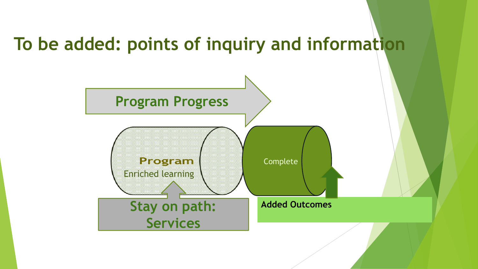#### **To be added: points of inquiry and information**

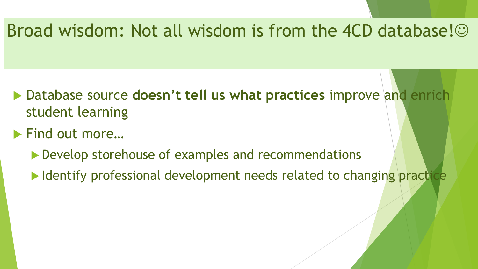#### Broad wisdom: Not all wisdom is from the 4CD database!

- Database source **doesn't tell us what practices** improve and enrich student learning
- ▶ Find out more...
	- ▶ Develop storehouse of examples and recommendations
	- I Identify professional development needs related to changing practice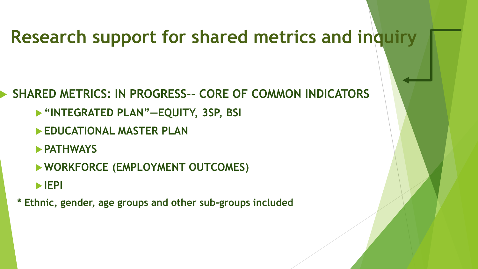#### **Research support for shared metrics and inquiry**

#### **SHARED METRICS: IN PROGRESS-- CORE OF COMMON INDICATORS**

- **"INTEGRATED PLAN"—EQUITY, 3SP, BSI**
- **EDUCATIONAL MASTER PLAN**
- **PATHWAYS**
- **WORKFORCE (EMPLOYMENT OUTCOMES)**
- **IEPI**
- **\* Ethnic, gender, age groups and other sub-groups included**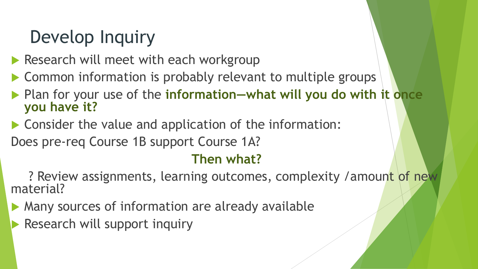## Develop Inquiry

- Research will meet with each workgroup
- ▶ Common information is probably relevant to multiple groups
- **Plan for your use of the information—what will you do with it once you have it?**
- ▶ Consider the value and application of the information: Does pre-req Course 1B support Course 1A?

#### **Then what?**

? Review assignments, learning outcomes, complexity /amount of new material?

- **Many sources of information are already available**
- Research will support inquiry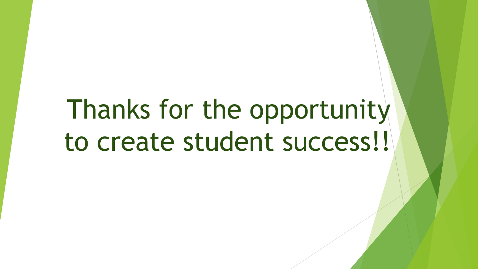# Thanks for the opportunity to create student success!!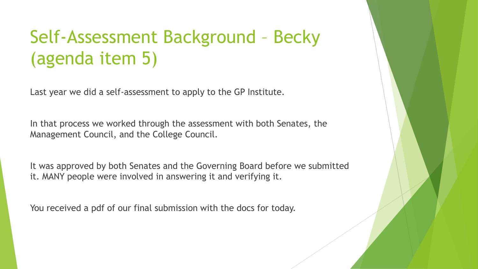# Self-Assessment Background – Becky (agenda item 5)

Last year we did a self-assessment to apply to the GP Institute.

In that process we worked through the assessment with both Senates, the Management Council, and the College Council.

It was approved by both Senates and the Governing Board before we submitted it. MANY people were involved in answering it and verifying it.

You received a pdf of our final submission with the docs for today.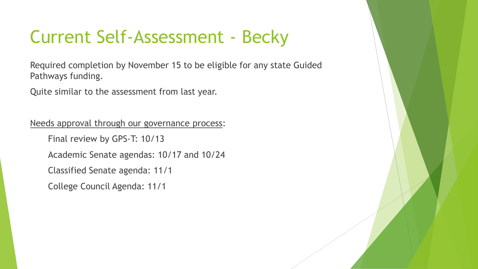### Current Self-Assessment - Becky

Required completion by November 15 to be eligible for any state Guided Pathways funding.

Quite similar to the assessment from last year.

Needs approval through our governance process:

Final review by GPS-T: 10/13

Academic Senate agendas: 10/17 and 10/24

Classified Senate agenda: 11/1

College Council Agenda: 11/1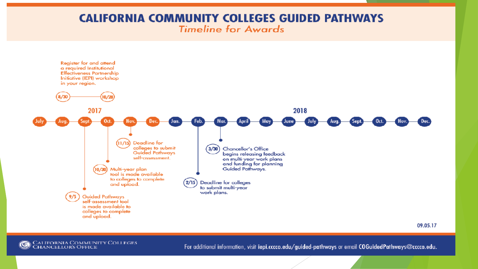#### **CALIFORNIA COMMUNITY COLLEGES GUIDED PATHWAYS Timeline for Awards**



09.05.17



For additional information, visit iepi.cccco.edu/guided-pathways or email COGuidedPathways@cccco.edu.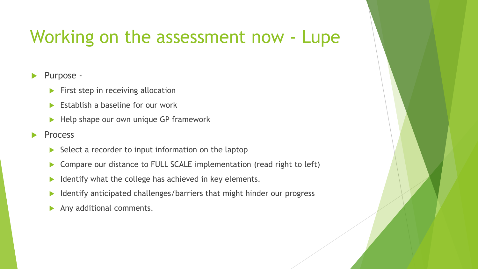#### Working on the assessment now - Lupe

#### Purpose -

- **First step in receiving allocation**
- Establish a baseline for our work
- Help shape our own unique GP framework
- Process
	- $\triangleright$  Select a recorder to input information on the laptop
	- ▶ Compare our distance to FULL SCALE implementation (read right to left)
	- Identify what the college has achieved in key elements.
	- $\blacktriangleright$  Identify anticipated challenges/barriers that might hinder our progress
	- Any additional comments.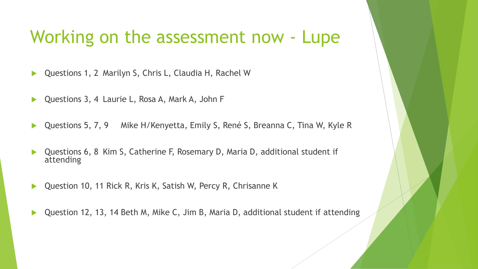#### Working on the assessment now - Lupe

- Questions 1, 2 Marilyn S, Chris L, Claudia H, Rachel W
- Questions 3, 4 Laurie L, Rosa A, Mark A, John F
- Questions 5, 7, 9 Mike H/Kenyetta, Emily S, René S, Breanna C, Tina W, Kyle R
- Questions 6, 8 Kim S, Catherine F, Rosemary D, Maria D, additional student if attending
- Question 10, 11 Rick R, Kris K, Satish W, Percy R, Chrisanne K
- Question 12, 13, 14 Beth M, Mike C, Jim B, Maria D, additional student if attending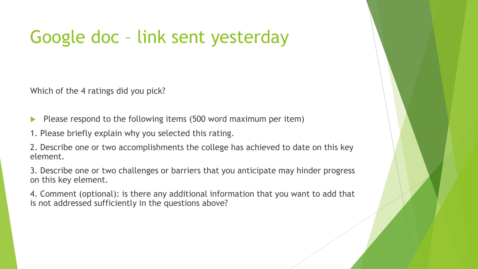## Google doc – link sent yesterday

Which of the 4 ratings did you pick?

- Please respond to the following items (500 word maximum per item)
- 1. Please briefly explain why you selected this rating.

2. Describe one or two accomplishments the college has achieved to date on this key element.

3. Describe one or two challenges or barriers that you anticipate may hinder progress on this key element.

4. Comment (optional): is there any additional information that you want to add that is not addressed sufficiently in the questions above?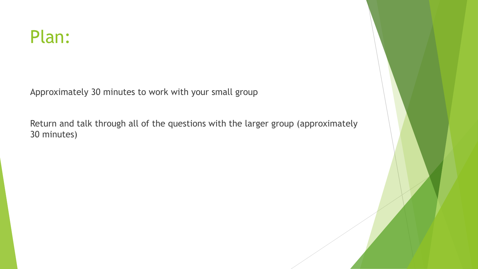Approximately 30 minutes to work with your small group

Return and talk through all of the questions with the larger group (approximately 30 minutes)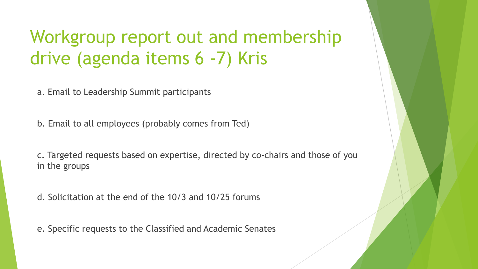## Workgroup report out and membership drive (agenda items 6 -7) Kris

a. Email to Leadership Summit participants

b. Email to all employees (probably comes from Ted)

c. Targeted requests based on expertise, directed by co-chairs and those of you in the groups

d. Solicitation at the end of the 10/3 and 10/25 forums

e. Specific requests to the Classified and Academic Senates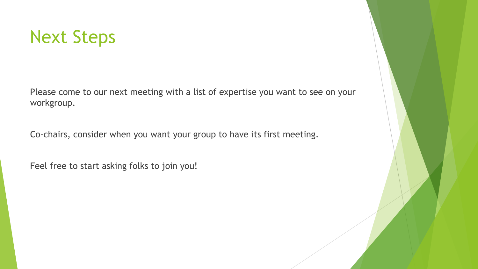

Please come to our next meeting with a list of expertise you want to see on your workgroup.

Co-chairs, consider when you want your group to have its first meeting.

Feel free to start asking folks to join you!